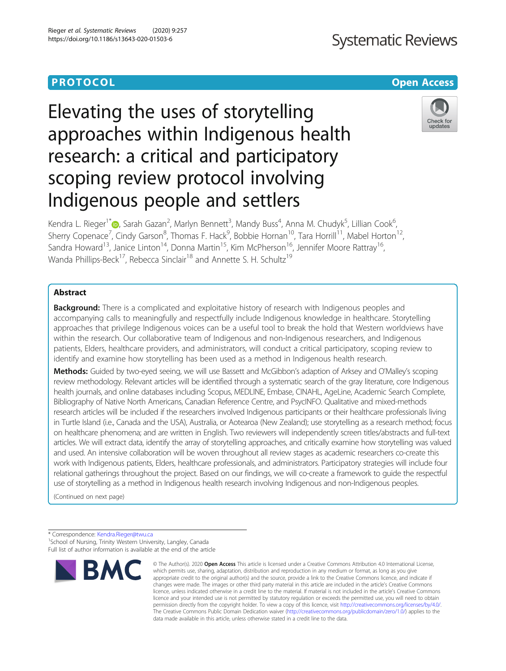## **PROTOCOL CONSUMING THE OPEN ACCESS**

# **Systematic Reviews**

# Elevating the uses of storytelling approaches within Indigenous health research: a critical and participatory scoping review protocol involving Indigenous people and settlers



Kendra L. Rieger<sup>1[\\*](http://orcid.org/0000-0002-4864-2833)</sup>�, Sarah Gazan<sup>2</sup>, Marlyn Bennett<sup>3</sup>, Mandy Buss<sup>4</sup>, Anna M. Chudyk<sup>5</sup>, Lillian Cook<sup>6</sup> , Sherry Copenace<sup>7</sup>, Cindy Garson<sup>8</sup>, Thomas F. Hack<sup>9</sup>, Bobbie Hornan<sup>10</sup>, Tara Horrill<sup>11</sup>, Mabel Horton<sup>12</sup>, Sandra Howard<sup>13</sup>, Janice Linton<sup>14</sup>, Donna Martin<sup>15</sup>, Kim McPherson<sup>16</sup>, Jennifer Moore Rattray<sup>16</sup>, Wanda Phillips-Beck<sup>17</sup>, Rebecca Sinclair<sup>18</sup> and Annette S. H. Schultz<sup>19</sup>

### Abstract

**Background:** There is a complicated and exploitative history of research with Indigenous peoples and accompanying calls to meaningfully and respectfully include Indigenous knowledge in healthcare. Storytelling approaches that privilege Indigenous voices can be a useful tool to break the hold that Western worldviews have within the research. Our collaborative team of Indigenous and non-Indigenous researchers, and Indigenous patients, Elders, healthcare providers, and administrators, will conduct a critical participatory, scoping review to identify and examine how storytelling has been used as a method in Indigenous health research.

Methods: Guided by two-eyed seeing, we will use Bassett and McGibbon's adaption of Arksey and O'Malley's scoping review methodology. Relevant articles will be identified through a systematic search of the gray literature, core Indigenous health journals, and online databases including Scopus, MEDLINE, Embase, CINAHL, AgeLine, Academic Search Complete, Bibliography of Native North Americans, Canadian Reference Centre, and PsycINFO. Qualitative and mixed-methods research articles will be included if the researchers involved Indigenous participants or their healthcare professionals living in Turtle Island (i.e., Canada and the USA), Australia, or Aotearoa (New Zealand); use storytelling as a research method; focus on healthcare phenomena; and are written in English. Two reviewers will independently screen titles/abstracts and full-text articles. We will extract data, identify the array of storytelling approaches, and critically examine how storytelling was valued and used. An intensive collaboration will be woven throughout all review stages as academic researchers co-create this work with Indigenous patients, Elders, healthcare professionals, and administrators. Participatory strategies will include four relational gatherings throughout the project. Based on our findings, we will co-create a framework to guide the respectful use of storytelling as a method in Indigenous health research involving Indigenous and non-Indigenous peoples.

(Continued on next page)

\* Correspondence: [Kendra.Rieger@twu.ca](mailto:Kendra.Rieger@twu.ca) <sup>1</sup> <sup>1</sup>School of Nursing, Trinity Western University, Langley, Canada Full list of author information is available at the end of the article



<sup>©</sup> The Author(s), 2020 **Open Access** This article is licensed under a Creative Commons Attribution 4.0 International License, which permits use, sharing, adaptation, distribution and reproduction in any medium or format, as long as you give appropriate credit to the original author(s) and the source, provide a link to the Creative Commons licence, and indicate if changes were made. The images or other third party material in this article are included in the article's Creative Commons licence, unless indicated otherwise in a credit line to the material. If material is not included in the article's Creative Commons licence and your intended use is not permitted by statutory regulation or exceeds the permitted use, you will need to obtain permission directly from the copyright holder. To view a copy of this licence, visit [http://creativecommons.org/licenses/by/4.0/.](http://creativecommons.org/licenses/by/4.0/) The Creative Commons Public Domain Dedication waiver [\(http://creativecommons.org/publicdomain/zero/1.0/](http://creativecommons.org/publicdomain/zero/1.0/)) applies to the data made available in this article, unless otherwise stated in a credit line to the data.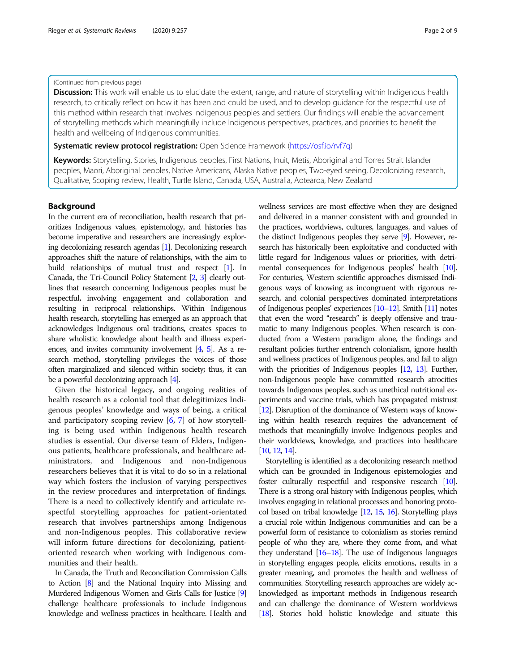#### (Continued from previous page)

Discussion: This work will enable us to elucidate the extent, range, and nature of storytelling within Indigenous health research, to critically reflect on how it has been and could be used, and to develop guidance for the respectful use of this method within research that involves Indigenous peoples and settlers. Our findings will enable the advancement of storytelling methods which meaningfully include Indigenous perspectives, practices, and priorities to benefit the health and wellbeing of Indigenous communities.

Systematic review protocol registration: Open Science Framework [\(https://osf.io/rvf7q\)](https://osf.io/rvf7q)

Keywords: Storytelling, Stories, Indigenous peoples, First Nations, Inuit, Metis, Aboriginal and Torres Strait Islander peoples, Maori, Aboriginal peoples, Native Americans, Alaska Native peoples, Two-eyed seeing, Decolonizing research, Qualitative, Scoping review, Health, Turtle Island, Canada, USA, Australia, Aotearoa, New Zealand

#### Background

In the current era of reconciliation, health research that prioritizes Indigenous values, epistemology, and histories has become imperative and researchers are increasingly exploring decolonizing research agendas [\[1\]](#page-7-0). Decolonizing research approaches shift the nature of relationships, with the aim to build relationships of mutual trust and respect [\[1\]](#page-7-0). In Canada, the Tri-Council Policy Statement [\[2](#page-7-0), [3](#page-7-0)] clearly outlines that research concerning Indigenous peoples must be respectful, involving engagement and collaboration and resulting in reciprocal relationships. Within Indigenous health research, storytelling has emerged as an approach that acknowledges Indigenous oral traditions, creates spaces to share wholistic knowledge about health and illness experiences, and invites community involvement [[4](#page-7-0), [5\]](#page-7-0). As a research method, storytelling privileges the voices of those often marginalized and silenced within society; thus, it can be a powerful decolonizing approach [\[4](#page-7-0)].

Given the historical legacy, and ongoing realities of health research as a colonial tool that delegitimizes Indigenous peoples' knowledge and ways of being, a critical and participatory scoping review [\[6,](#page-7-0) [7\]](#page-7-0) of how storytelling is being used within Indigenous health research studies is essential. Our diverse team of Elders, Indigenous patients, healthcare professionals, and healthcare administrators, and Indigenous and non-Indigenous researchers believes that it is vital to do so in a relational way which fosters the inclusion of varying perspectives in the review procedures and interpretation of findings. There is a need to collectively identify and articulate respectful storytelling approaches for patient-orientated research that involves partnerships among Indigenous and non-Indigenous peoples. This collaborative review will inform future directions for decolonizing, patientoriented research when working with Indigenous communities and their health.

In Canada, the Truth and Reconciliation Commission Calls to Action [\[8](#page-7-0)] and the National Inquiry into Missing and Murdered Indigenous Women and Girls Calls for Justice [\[9](#page-7-0)] challenge healthcare professionals to include Indigenous knowledge and wellness practices in healthcare. Health and wellness services are most effective when they are designed and delivered in a manner consistent with and grounded in the practices, worldviews, cultures, languages, and values of the distinct Indigenous peoples they serve [\[9](#page-7-0)]. However, research has historically been exploitative and conducted with little regard for Indigenous values or priorities, with detrimental consequences for Indigenous peoples' health [\[10\]](#page-7-0). For centuries, Western scientific approaches dismissed Indigenous ways of knowing as incongruent with rigorous research, and colonial perspectives dominated interpretations of Indigenous peoples' experiences [\[10](#page-7-0)–[12\]](#page-7-0). Smith [\[11](#page-7-0)] notes that even the word "research" is deeply offensive and traumatic to many Indigenous peoples. When research is conducted from a Western paradigm alone, the findings and resultant policies further entrench colonialism, ignore health and wellness practices of Indigenous peoples, and fail to align with the priorities of Indigenous peoples [\[12](#page-7-0), [13\]](#page-7-0). Further, non-Indigenous people have committed research atrocities towards Indigenous peoples, such as unethical nutritional experiments and vaccine trials, which has propagated mistrust [[12\]](#page-7-0). Disruption of the dominance of Western ways of knowing within health research requires the advancement of methods that meaningfully involve Indigenous peoples and their worldviews, knowledge, and practices into healthcare [[10,](#page-7-0) [12,](#page-7-0) [14](#page-7-0)].

Storytelling is identified as a decolonizing research method which can be grounded in Indigenous epistemologies and foster culturally respectful and responsive research [\[10\]](#page-7-0). There is a strong oral history with Indigenous peoples, which involves engaging in relational processes and honoring protocol based on tribal knowledge [\[12](#page-7-0), [15,](#page-7-0) [16\]](#page-7-0). Storytelling plays a crucial role within Indigenous communities and can be a powerful form of resistance to colonialism as stories remind people of who they are, where they come from, and what they understand [\[16](#page-7-0)–[18\]](#page-7-0). The use of Indigenous languages in storytelling engages people, elicits emotions, results in a greater meaning, and promotes the health and wellness of communities. Storytelling research approaches are widely acknowledged as important methods in Indigenous research and can challenge the dominance of Western worldviews [[18\]](#page-7-0). Stories hold holistic knowledge and situate this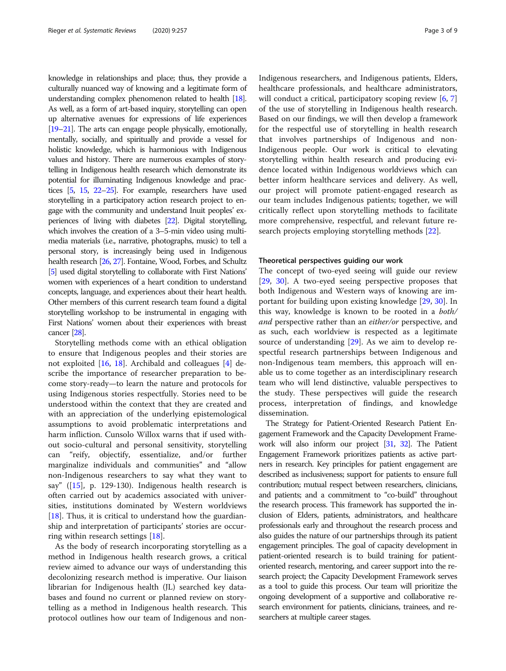knowledge in relationships and place; thus, they provide a culturally nuanced way of knowing and a legitimate form of understanding complex phenomenon related to health [\[18\]](#page-7-0). As well, as a form of art-based inquiry, storytelling can open up alternative avenues for expressions of life experiences [[19](#page-7-0)–[21\]](#page-7-0). The arts can engage people physically, emotionally, mentally, socially, and spiritually and provide a vessel for holistic knowledge, which is harmonious with Indigenous values and history. There are numerous examples of storytelling in Indigenous health research which demonstrate its potential for illuminating Indigenous knowledge and practices [\[5](#page-7-0), [15,](#page-7-0) [22](#page-7-0)–[25](#page-8-0)]. For example, researchers have used storytelling in a participatory action research project to engage with the community and understand Inuit peoples' experiences of living with diabetes [\[22](#page-7-0)]. Digital storytelling, which involves the creation of a 3–5-min video using multimedia materials (i.e., narrative, photographs, music) to tell a personal story, is increasingly being used in Indigenous health research [[26,](#page-8-0) [27](#page-8-0)]. Fontaine, Wood, Forbes, and Schultz [[5](#page-7-0)] used digital storytelling to collaborate with First Nations' women with experiences of a heart condition to understand concepts, language, and experiences about their heart health. Other members of this current research team found a digital storytelling workshop to be instrumental in engaging with First Nations' women about their experiences with breast cancer [\[28](#page-8-0)].

Storytelling methods come with an ethical obligation to ensure that Indigenous peoples and their stories are not exploited [[16,](#page-7-0) [18](#page-7-0)]. Archibald and colleagues [\[4](#page-7-0)] describe the importance of researcher preparation to become story-ready—to learn the nature and protocols for using Indigenous stories respectfully. Stories need to be understood within the context that they are created and with an appreciation of the underlying epistemological assumptions to avoid problematic interpretations and harm infliction. Cunsolo Willox warns that if used without socio-cultural and personal sensitivity, storytelling can "reify, objectify, essentialize, and/or further marginalize individuals and communities" and "allow non-Indigenous researchers to say what they want to say" ([[15\]](#page-7-0), p. 129-130). Indigenous health research is often carried out by academics associated with universities, institutions dominated by Western worldviews [[18\]](#page-7-0). Thus, it is critical to understand how the guardianship and interpretation of participants' stories are occurring within research settings [[18\]](#page-7-0).

As the body of research incorporating storytelling as a method in Indigenous health research grows, a critical review aimed to advance our ways of understanding this decolonizing research method is imperative. Our liaison librarian for Indigenous health (JL) searched key databases and found no current or planned review on storytelling as a method in Indigenous health research. This protocol outlines how our team of Indigenous and nonIndigenous researchers, and Indigenous patients, Elders, healthcare professionals, and healthcare administrators, will conduct a critical, participatory scoping review [\[6](#page-7-0), [7](#page-7-0)] of the use of storytelling in Indigenous health research. Based on our findings, we will then develop a framework for the respectful use of storytelling in health research that involves partnerships of Indigenous and non-Indigenous people. Our work is critical to elevating storytelling within health research and producing evidence located within Indigenous worldviews which can better inform healthcare services and delivery. As well, our project will promote patient-engaged research as our team includes Indigenous patients; together, we will critically reflect upon storytelling methods to facilitate more comprehensive, respectful, and relevant future research projects employing storytelling methods [[22\]](#page-7-0).

#### Theoretical perspectives guiding our work

The concept of two-eyed seeing will guide our review [[29,](#page-8-0) [30\]](#page-8-0). A two-eyed seeing perspective proposes that both Indigenous and Western ways of knowing are important for building upon existing knowledge [[29,](#page-8-0) [30\]](#page-8-0). In this way, knowledge is known to be rooted in a both/ and perspective rather than an either/or perspective, and as such, each worldview is respected as a legitimate source of understanding [\[29](#page-8-0)]. As we aim to develop respectful research partnerships between Indigenous and non-Indigenous team members, this approach will enable us to come together as an interdisciplinary research team who will lend distinctive, valuable perspectives to the study. These perspectives will guide the research process, interpretation of findings, and knowledge dissemination.

The Strategy for Patient-Oriented Research Patient Engagement Framework and the Capacity Development Framework will also inform our project [\[31,](#page-8-0) [32](#page-8-0)]. The Patient Engagement Framework prioritizes patients as active partners in research. Key principles for patient engagement are described as inclusiveness; support for patients to ensure full contribution; mutual respect between researchers, clinicians, and patients; and a commitment to "co-build" throughout the research process. This framework has supported the inclusion of Elders, patients, administrators, and healthcare professionals early and throughout the research process and also guides the nature of our partnerships through its patient engagement principles. The goal of capacity development in patient-oriented research is to build training for patientoriented research, mentoring, and career support into the research project; the Capacity Development Framework serves as a tool to guide this process. Our team will prioritize the ongoing development of a supportive and collaborative research environment for patients, clinicians, trainees, and researchers at multiple career stages.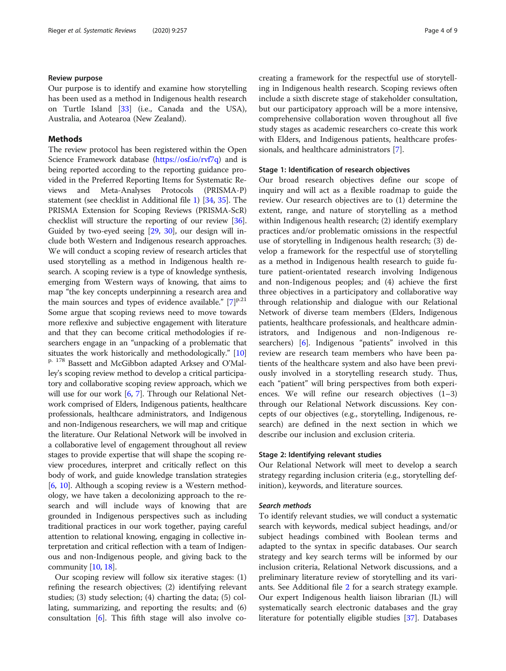#### Review purpose

Our purpose is to identify and examine how storytelling has been used as a method in Indigenous health research on Turtle Island [\[33](#page-8-0)] (i.e., Canada and the USA), Australia, and Aotearoa (New Zealand).

#### Methods

The review protocol has been registered within the Open Science Framework database (<https://osf.io/rvf7q>) and is being reported according to the reporting guidance provided in the Preferred Reporting Items for Systematic Reviews and Meta-Analyses Protocols (PRISMA-P) statement (see checklist in Additional file [1](#page-7-0)) [[34](#page-8-0), [35](#page-8-0)]. The PRISMA Extension for Scoping Reviews (PRISMA-ScR) checklist will structure the reporting of our review [[36](#page-8-0)]. Guided by two-eyed seeing [\[29,](#page-8-0) [30\]](#page-8-0), our design will include both Western and Indigenous research approaches. We will conduct a scoping review of research articles that used storytelling as a method in Indigenous health research. A scoping review is a type of knowledge synthesis, emerging from Western ways of knowing, that aims to map "the key concepts underpinning a research area and the main sources and types of evidence available." [\[7\]](#page-7-0)<sup>p.21</sup> Some argue that scoping reviews need to move towards more reflexive and subjective engagement with literature and that they can become critical methodologies if researchers engage in an "unpacking of a problematic that situates the work historically and methodologically." [[10](#page-7-0)] p. 178 Bassett and McGibbon adapted Arksey and O'Malley's scoping review method to develop a critical participatory and collaborative scoping review approach, which we will use for our work [\[6](#page-7-0), [7\]](#page-7-0). Through our Relational Network comprised of Elders, Indigenous patients, healthcare professionals, healthcare administrators, and Indigenous and non-Indigenous researchers, we will map and critique the literature. Our Relational Network will be involved in a collaborative level of engagement throughout all review stages to provide expertise that will shape the scoping review procedures, interpret and critically reflect on this body of work, and guide knowledge translation strategies [[6,](#page-7-0) [10\]](#page-7-0). Although a scoping review is a Western methodology, we have taken a decolonizing approach to the research and will include ways of knowing that are grounded in Indigenous perspectives such as including traditional practices in our work together, paying careful attention to relational knowing, engaging in collective interpretation and critical reflection with a team of Indigenous and non-Indigenous people, and giving back to the community  $[10, 18]$  $[10, 18]$  $[10, 18]$  $[10, 18]$ .

Our scoping review will follow six iterative stages: (1) refining the research objectives; (2) identifying relevant studies; (3) study selection; (4) charting the data; (5) collating, summarizing, and reporting the results; and (6) consultation  $[6]$  $[6]$  $[6]$ . This fifth stage will also involve cocreating a framework for the respectful use of storytelling in Indigenous health research. Scoping reviews often include a sixth discrete stage of stakeholder consultation, but our participatory approach will be a more intensive, comprehensive collaboration woven throughout all five study stages as academic researchers co-create this work with Elders, and Indigenous patients, healthcare professionals, and healthcare administrators [[7](#page-7-0)].

#### Stage 1: Identification of research objectives

Our broad research objectives define our scope of inquiry and will act as a flexible roadmap to guide the review. Our research objectives are to (1) determine the extent, range, and nature of storytelling as a method within Indigenous health research; (2) identify exemplary practices and/or problematic omissions in the respectful use of storytelling in Indigenous health research; (3) develop a framework for the respectful use of storytelling as a method in Indigenous health research to guide future patient-orientated research involving Indigenous and non-Indigenous peoples; and (4) achieve the first three objectives in a participatory and collaborative way through relationship and dialogue with our Relational Network of diverse team members (Elders, Indigenous patients, healthcare professionals, and healthcare administrators, and Indigenous and non-Indigenous re-searchers) [\[6](#page-7-0)]. Indigenous "patients" involved in this review are research team members who have been patients of the healthcare system and also have been previously involved in a storytelling research study. Thus, each "patient" will bring perspectives from both experiences. We will refine our research objectives (1–3) through our Relational Network discussions. Key concepts of our objectives (e.g., storytelling, Indigenous, research) are defined in the next section in which we describe our inclusion and exclusion criteria.

#### Stage 2: Identifying relevant studies

Our Relational Network will meet to develop a search strategy regarding inclusion criteria (e.g., storytelling definition), keywords, and literature sources.

#### Search methods

To identify relevant studies, we will conduct a systematic search with keywords, medical subject headings, and/or subject headings combined with Boolean terms and adapted to the syntax in specific databases. Our search strategy and key search terms will be informed by our inclusion criteria, Relational Network discussions, and a preliminary literature review of storytelling and its variants. See Additional file [2](#page-7-0) for a search strategy example. Our expert Indigenous health liaison librarian (JL) will systematically search electronic databases and the gray literature for potentially eligible studies [[37](#page-8-0)]. Databases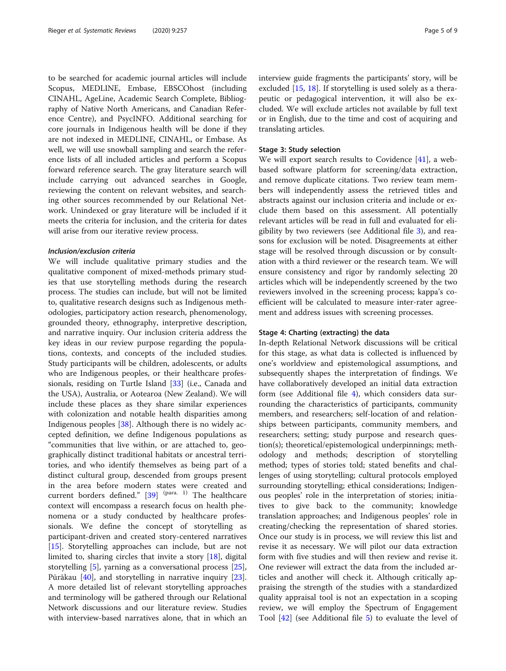to be searched for academic journal articles will include Scopus, MEDLINE, Embase, EBSCOhost (including CINAHL, AgeLine, Academic Search Complete, Bibliography of Native North Americans, and Canadian Reference Centre), and PsycINFO. Additional searching for core journals in Indigenous health will be done if they are not indexed in MEDLINE, CINAHL, or Embase. As well, we will use snowball sampling and search the reference lists of all included articles and perform a Scopus forward reference search. The gray literature search will include carrying out advanced searches in Google, reviewing the content on relevant websites, and searching other sources recommended by our Relational Network. Unindexed or gray literature will be included if it meets the criteria for inclusion, and the criteria for dates will arise from our iterative review process.

#### Inclusion/exclusion criteria

We will include qualitative primary studies and the qualitative component of mixed-methods primary studies that use storytelling methods during the research process. The studies can include, but will not be limited to, qualitative research designs such as Indigenous methodologies, participatory action research, phenomenology, grounded theory, ethnography, interpretive description, and narrative inquiry. Our inclusion criteria address the key ideas in our review purpose regarding the populations, contexts, and concepts of the included studies. Study participants will be children, adolescents, or adults who are Indigenous peoples, or their healthcare professionals, residing on Turtle Island [\[33](#page-8-0)] (i.e., Canada and the USA), Australia, or Aotearoa (New Zealand). We will include these places as they share similar experiences with colonization and notable health disparities among Indigenous peoples [[38\]](#page-8-0). Although there is no widely accepted definition, we define Indigenous populations as "communities that live within, or are attached to, geographically distinct traditional habitats or ancestral territories, and who identify themselves as being part of a distinct cultural group, descended from groups present in the area before modern states were created and current borders defined."  $[39]$  $[39]$  $[39]$  <sup>(para. 1)</sup> The healthcare context will encompass a research focus on health phenomena or a study conducted by healthcare professionals. We define the concept of storytelling as participant-driven and created story-centered narratives [[15\]](#page-7-0). Storytelling approaches can include, but are not limited to, sharing circles that invite a story [[18](#page-7-0)], digital storytelling [[5\]](#page-7-0), yarning as a conversational process [\[25](#page-8-0)], Pūrākau [[40](#page-8-0)], and storytelling in narrative inquiry [\[23](#page-8-0)]. A more detailed list of relevant storytelling approaches and terminology will be gathered through our Relational Network discussions and our literature review. Studies with interview-based narratives alone, that in which an interview guide fragments the participants' story, will be excluded [\[15](#page-7-0), [18](#page-7-0)]. If storytelling is used solely as a therapeutic or pedagogical intervention, it will also be excluded. We will exclude articles not available by full text or in English, due to the time and cost of acquiring and translating articles.

#### Stage 3: Study selection

We will export search results to Covidence [[41\]](#page-8-0), a webbased software platform for screening/data extraction, and remove duplicate citations. Two review team members will independently assess the retrieved titles and abstracts against our inclusion criteria and include or exclude them based on this assessment. All potentially relevant articles will be read in full and evaluated for eligibility by two reviewers (see Additional file [3](#page-7-0)), and reasons for exclusion will be noted. Disagreements at either stage will be resolved through discussion or by consultation with a third reviewer or the research team. We will ensure consistency and rigor by randomly selecting 20 articles which will be independently screened by the two reviewers involved in the screening process; kappa's coefficient will be calculated to measure inter-rater agreement and address issues with screening processes.

#### Stage 4: Charting (extracting) the data

In-depth Relational Network discussions will be critical for this stage, as what data is collected is influenced by one's worldview and epistemological assumptions, and subsequently shapes the interpretation of findings. We have collaboratively developed an initial data extraction form (see Additional file [4\)](#page-7-0), which considers data surrounding the characteristics of participants, community members, and researchers; self-location of and relationships between participants, community members, and researchers; setting; study purpose and research question(s); theoretical/epistemological underpinnings; methodology and methods; description of storytelling method; types of stories told; stated benefits and challenges of using storytelling; cultural protocols employed surrounding storytelling; ethical considerations; Indigenous peoples' role in the interpretation of stories; initiatives to give back to the community; knowledge translation approaches; and Indigenous peoples' role in creating/checking the representation of shared stories. Once our study is in process, we will review this list and revise it as necessary. We will pilot our data extraction form with five studies and will then review and revise it. One reviewer will extract the data from the included articles and another will check it. Although critically appraising the strength of the studies with a standardized quality appraisal tool is not an expectation in a scoping review, we will employ the Spectrum of Engagement Tool [\[42\]](#page-8-0) (see Additional file [5\)](#page-7-0) to evaluate the level of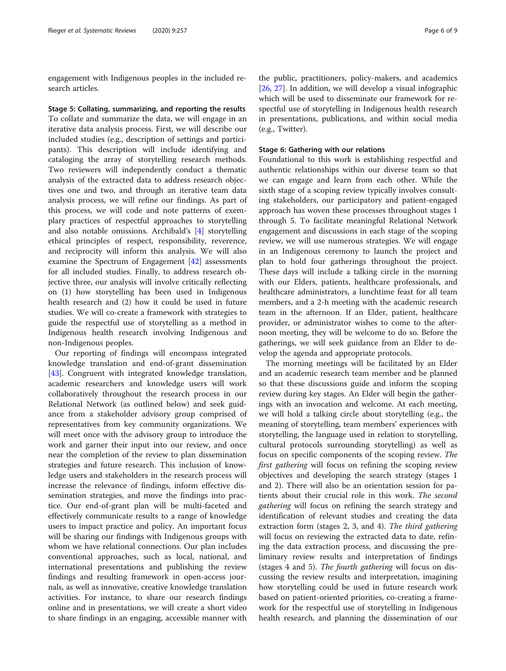engagement with Indigenous peoples in the included research articles.

Stage 5: Collating, summarizing, and reporting the results To collate and summarize the data, we will engage in an iterative data analysis process. First, we will describe our included studies (e.g., description of settings and participants). This description will include identifying and cataloging the array of storytelling research methods. Two reviewers will independently conduct a thematic analysis of the extracted data to address research objectives one and two, and through an iterative team data analysis process, we will refine our findings. As part of this process, we will code and note patterns of exemplary practices of respectful approaches to storytelling and also notable omissions. Archibald's [\[4](#page-7-0)] storytelling ethical principles of respect, responsibility, reverence, and reciprocity will inform this analysis. We will also examine the Spectrum of Engagement [[42](#page-8-0)] assessments for all included studies. Finally, to address research objective three, our analysis will involve critically reflecting on (1) how storytelling has been used in Indigenous health research and (2) how it could be used in future studies. We will co-create a framework with strategies to guide the respectful use of storytelling as a method in Indigenous health research involving Indigenous and non-Indigenous peoples.

Our reporting of findings will encompass integrated knowledge translation and end-of-grant dissemination [[43\]](#page-8-0). Congruent with integrated knowledge translation, academic researchers and knowledge users will work collaboratively throughout the research process in our Relational Network (as outlined below) and seek guidance from a stakeholder advisory group comprised of representatives from key community organizations. We will meet once with the advisory group to introduce the work and garner their input into our review, and once near the completion of the review to plan dissemination strategies and future research. This inclusion of knowledge users and stakeholders in the research process will increase the relevance of findings, inform effective dissemination strategies, and move the findings into practice. Our end-of-grant plan will be multi-faceted and effectively communicate results to a range of knowledge users to impact practice and policy. An important focus will be sharing our findings with Indigenous groups with whom we have relational connections. Our plan includes conventional approaches, such as local, national, and international presentations and publishing the review findings and resulting framework in open-access journals, as well as innovative, creative knowledge translation activities. For instance, to share our research findings online and in presentations, we will create a short video to share findings in an engaging, accessible manner with

the public, practitioners, policy-makers, and academics [[26,](#page-8-0) [27\]](#page-8-0). In addition, we will develop a visual infographic which will be used to disseminate our framework for respectful use of storytelling in Indigenous health research in presentations, publications, and within social media (e.g., Twitter).

#### Stage 6: Gathering with our relations

Foundational to this work is establishing respectful and authentic relationships within our diverse team so that we can engage and learn from each other. While the sixth stage of a scoping review typically involves consulting stakeholders, our participatory and patient-engaged approach has woven these processes throughout stages 1 through 5. To facilitate meaningful Relational Network engagement and discussions in each stage of the scoping review, we will use numerous strategies. We will engage in an Indigenous ceremony to launch the project and plan to hold four gatherings throughout the project. These days will include a talking circle in the morning with our Elders, patients, healthcare professionals, and healthcare administrators, a lunchtime feast for all team members, and a 2-h meeting with the academic research team in the afternoon. If an Elder, patient, healthcare provider, or administrator wishes to come to the afternoon meeting, they will be welcome to do so. Before the gatherings, we will seek guidance from an Elder to develop the agenda and appropriate protocols.

The morning meetings will be facilitated by an Elder and an academic research team member and be planned so that these discussions guide and inform the scoping review during key stages. An Elder will begin the gatherings with an invocation and welcome. At each meeting, we will hold a talking circle about storytelling (e.g., the meaning of storytelling, team members' experiences with storytelling, the language used in relation to storytelling, cultural protocols surrounding storytelling) as well as focus on specific components of the scoping review. The first gathering will focus on refining the scoping review objectives and developing the search strategy (stages 1 and 2). There will also be an orientation session for patients about their crucial role in this work. The second gathering will focus on refining the search strategy and identification of relevant studies and creating the data extraction form (stages 2, 3, and 4). The third gathering will focus on reviewing the extracted data to date, refining the data extraction process, and discussing the preliminary review results and interpretation of findings (stages 4 and 5). The fourth gathering will focus on discussing the review results and interpretation, imagining how storytelling could be used in future research work based on patient-oriented priorities, co-creating a framework for the respectful use of storytelling in Indigenous health research, and planning the dissemination of our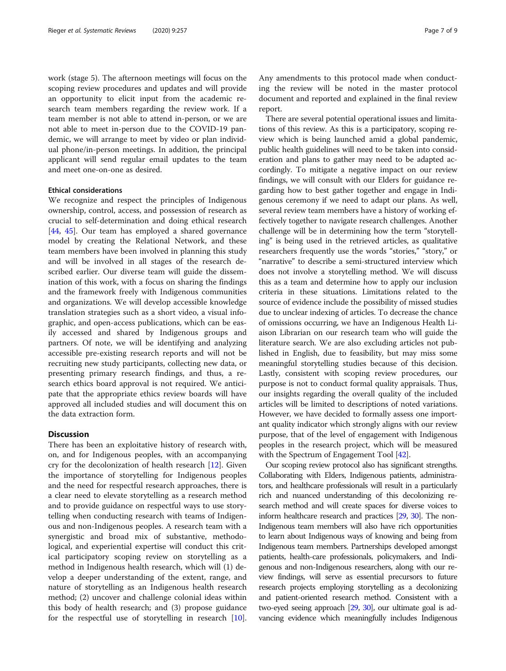work (stage 5). The afternoon meetings will focus on the scoping review procedures and updates and will provide an opportunity to elicit input from the academic research team members regarding the review work. If a team member is not able to attend in-person, or we are not able to meet in-person due to the COVID-19 pandemic, we will arrange to meet by video or plan individual phone/in-person meetings. In addition, the principal applicant will send regular email updates to the team and meet one-on-one as desired.

#### Ethical considerations

We recognize and respect the principles of Indigenous ownership, control, access, and possession of research as crucial to self-determination and doing ethical research [[44,](#page-8-0) [45](#page-8-0)]. Our team has employed a shared governance model by creating the Relational Network, and these team members have been involved in planning this study and will be involved in all stages of the research described earlier. Our diverse team will guide the dissemination of this work, with a focus on sharing the findings and the framework freely with Indigenous communities and organizations. We will develop accessible knowledge translation strategies such as a short video, a visual infographic, and open-access publications, which can be easily accessed and shared by Indigenous groups and partners. Of note, we will be identifying and analyzing accessible pre-existing research reports and will not be recruiting new study participants, collecting new data, or presenting primary research findings, and thus, a research ethics board approval is not required. We anticipate that the appropriate ethics review boards will have approved all included studies and will document this on the data extraction form.

#### **Discussion**

There has been an exploitative history of research with, on, and for Indigenous peoples, with an accompanying cry for the decolonization of health research [[12\]](#page-7-0). Given the importance of storytelling for Indigenous peoples and the need for respectful research approaches, there is a clear need to elevate storytelling as a research method and to provide guidance on respectful ways to use storytelling when conducting research with teams of Indigenous and non-Indigenous peoples. A research team with a synergistic and broad mix of substantive, methodological, and experiential expertise will conduct this critical participatory scoping review on storytelling as a method in Indigenous health research, which will (1) develop a deeper understanding of the extent, range, and nature of storytelling as an Indigenous health research method; (2) uncover and challenge colonial ideas within this body of health research; and (3) propose guidance for the respectful use of storytelling in research [\[10](#page-7-0)]. Any amendments to this protocol made when conducting the review will be noted in the master protocol document and reported and explained in the final review report.

There are several potential operational issues and limitations of this review. As this is a participatory, scoping review which is being launched amid a global pandemic, public health guidelines will need to be taken into consideration and plans to gather may need to be adapted accordingly. To mitigate a negative impact on our review findings, we will consult with our Elders for guidance regarding how to best gather together and engage in Indigenous ceremony if we need to adapt our plans. As well, several review team members have a history of working effectively together to navigate research challenges. Another challenge will be in determining how the term "storytelling" is being used in the retrieved articles, as qualitative researchers frequently use the words "stories," "story," or "narrative" to describe a semi-structured interview which does not involve a storytelling method. We will discuss this as a team and determine how to apply our inclusion criteria in these situations. Limitations related to the source of evidence include the possibility of missed studies due to unclear indexing of articles. To decrease the chance of omissions occurring, we have an Indigenous Health Liaison Librarian on our research team who will guide the literature search. We are also excluding articles not published in English, due to feasibility, but may miss some meaningful storytelling studies because of this decision. Lastly, consistent with scoping review procedures, our purpose is not to conduct formal quality appraisals. Thus, our insights regarding the overall quality of the included articles will be limited to descriptions of noted variations. However, we have decided to formally assess one important quality indicator which strongly aligns with our review purpose, that of the level of engagement with Indigenous peoples in the research project, which will be measured with the Spectrum of Engagement Tool [[42](#page-8-0)].

Our scoping review protocol also has significant strengths. Collaborating with Elders, Indigenous patients, administrators, and healthcare professionals will result in a particularly rich and nuanced understanding of this decolonizing research method and will create spaces for diverse voices to inform healthcare research and practices [\[29](#page-8-0), [30\]](#page-8-0). The non-Indigenous team members will also have rich opportunities to learn about Indigenous ways of knowing and being from Indigenous team members. Partnerships developed amongst patients, health-care professionals, policymakers, and Indigenous and non-Indigenous researchers, along with our review findings, will serve as essential precursors to future research projects employing storytelling as a decolonizing and patient-oriented research method. Consistent with a two-eyed seeing approach [\[29,](#page-8-0) [30](#page-8-0)], our ultimate goal is advancing evidence which meaningfully includes Indigenous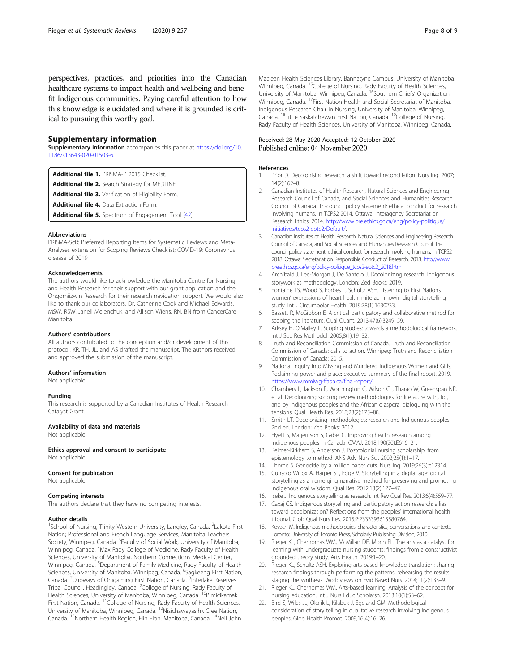<span id="page-7-0"></span>perspectives, practices, and priorities into the Canadian healthcare systems to impact health and wellbeing and benefit Indigenous communities. Paying careful attention to how this knowledge is elucidated and where it is grounded is critical to pursuing this worthy goal.

#### Supplementary information

Supplementary information accompanies this paper at [https://doi.org/10.](https://doi.org/10.1186/s13643-020-01503-6) [1186/s13643-020-01503-6](https://doi.org/10.1186/s13643-020-01503-6).

Additional file 1. PRISMA-P 2015 Checklist Additional file 2. Search Strategy for MEDLINE.

Additional file 3. Verification of Eligibility Form.

Additional file 4. Data Extraction Form.

Additional file 5. Spectrum of Engagement Tool [42].

#### Abbreviations

PRISMA-ScR: Preferred Reporting Items for Systematic Reviews and Meta-Analyses extension for Scoping Reviews Checklist; COVID-19: Coronavirus disease of 2019

#### Acknowledgements

The authors would like to acknowledge the Manitoba Centre for Nursing and Health Research for their support with our grant application and the Ongomiizwin Research for their research navigation support. We would also like to thank our collaborators, Dr. Catherine Cook and Michael Edwards, MSW, RSW, Janell Melenchuk, and Allison Wiens, RN, BN from CancerCare Manitoba.

#### Authors' contributions

All authors contributed to the conception and/or development of this protocol. KR, TH, JL, and AS drafted the manuscript. The authors received and approved the submission of the manuscript.

#### Authors' information

Not applicable.

#### Funding

This research is supported by a Canadian Institutes of Health Research Catalyst Grant.

#### Availability of data and materials

Not applicable.

Ethics approval and consent to participate Not applicable.

#### Consent for publication

Not applicable.

#### Competing interests

The authors declare that they have no competing interests.

#### Author details

<sup>1</sup>School of Nursing, Trinity Western University, Langley, Canada. <sup>2</sup>Lakota First Nation; Professional and French Language Services, Manitoba Teachers Society, Winnipeg, Canada. <sup>3</sup>Faculty of Social Work, University of Manitoba, Winnipeg, Canada. <sup>4</sup>Max Rady College of Medicine, Rady Faculty of Health Sciences, University of Manitoba, Northern Connections Medical Center, Winnipeg, Canada. <sup>5</sup>Department of Family Medicine, Rady Faculty of Health Sciences, University of Manitoba, Winnipeg, Canada. <sup>6</sup>Sagkeeng First Nation, Canada. <sup>7</sup>Ojibways of Onigaming First Nation, Canada. <sup>8</sup>Interlake Reserves Tribal Council, Headingley, Canada. <sup>9</sup>College of Nursing, Rady Faculty of Health Sciences, University of Manitoba, Winnipeg, Canada. <sup>10</sup>Pimicikamak First Nation, Canada. <sup>11</sup>College of Nursing, Rady Faculty of Health Sciences, University of Manitoba, Winnipeg, Canada. 12Nisichawayasihk Cree Nation, Canada. <sup>13</sup>Northern Health Region, Flin Flon, Manitoba, Canada. <sup>14</sup>Neil John

# Received: 28 May 2020 Accepted: 12 October 2020

#### References

1. Prior D. Decolonising research: a shift toward reconciliation. Nurs Inq. 2007; 14(2):162–8.

Rady Faculty of Health Sciences, University of Manitoba, Winnipeg, Canada.

- 2. Canadian Institutes of Health Research, Natural Sciences and Engineering Research Council of Canada, and Social Sciences and Humanities Research Council of Canada. Tri-council policy statement: ethical conduct for research involving humans. In TCPS2 2014. Ottawa: Interagency Secretariat on Research Ethics. 2014. [http://www.pre.ethics.gc.ca/eng/policy-politique/](http://www.pre.ethics.gc.ca/eng/policy-politique/initiatives/tcps2-eptc2/Default/) [initiatives/tcps2-eptc2/Default/](http://www.pre.ethics.gc.ca/eng/policy-politique/initiatives/tcps2-eptc2/Default/).
- 3. Canadian Institutes of Health Research, Natural Sciences and Engineering Research Council of Canada, and Social Sciences and Humanities Research Council. Tricouncil policy statement: ethical conduct for research involving humans. In TCPS2 2018. Ottawa: Secretariat on Responsible Conduct of Research. 2018. [http://www.](http://www.pre.ethics.gc.ca/eng/policy-politique_tcps2-eptc2_2018.html) [pre.ethics.gc.ca/eng/policy-politique\\_tcps2-eptc2\\_2018.html.](http://www.pre.ethics.gc.ca/eng/policy-politique_tcps2-eptc2_2018.html)
- 4. Archibald J, Lee-Morgan J, De Santolo J. Decolonizing research: Indigenous storywork as methodology. London: Zed Books; 2019.
- 5. Fontaine LS, Wood S, Forbes L, Schultz ASH. Listening to First Nations women' expressions of heart health: mite achimowin digital storytelling study. Int J Circumpolar Health. 2019;78(1):1630233.
- 6. Bassett R, McGibbon E. A critical participatory and collaborative method for scoping the literature. Qual Quant. 2013;47(6):3249–59.
- 7. Arksey H, O'Malley L. Scoping studies: towards a methodological framework. Int J Soc Res Methodol. 2005;8(1):19–32.
- 8. Truth and Reconciliation Commission of Canada. Truth and Reconciliation Commission of Canada: calls to action. Winnipeg: Truth and Reconciliation Commission of Canada; 2015.
- National Inquiry into Missing and Murdered Indigenous Women and Girls. Reclaiming power and place: executive summary of the final report. 2019. [https://www.mmiwg-ffada.ca/final-report/.](https://www.mmiwg-ffada.ca/final-report/)
- 10. Chambers L, Jackson R, Worthington C, Wilson CL, Tharao W, Greenspan NR, et al. Decolonizing scoping review methodologies for literature with, for, and by Indigenous peoples and the African diaspora: dialoguing with the tensions. Qual Health Res. 2018;28(2):175–88.
- 11. Smith LT. Decolonizing methodologies: research and Indigenous peoples. 2nd ed. London: Zed Books; 2012.
- 12. Hyett S, Marjerrison S, Gabel C. Improving health research among Indigenous peoples in Canada. CMAJ. 2018;190(20):E616–21.
- 13. Reimer-Kirkham S, Anderson J. Postcolonial nursing scholarship: from epistemology to method. ANS Adv Nurs Sci. 2002;25(1):1–17.
- 14. Thorne S. Genocide by a million paper cuts. Nurs Inq. 2019;26(3):e12314.
- 15. Cunsolo Willox A, Harper SL, Edge V. Storytelling in a digital age: digital storytelling as an emerging narrative method for preserving and promoting Indigenous oral wisdom. Qual Res. 2012;13(2):127–47.
- 16. Iseke J. Indigenous storytelling as research. Int Rev Qual Res. 2013;6(4):559–77.
- 17. Caxaj CS. Indigenous storytelling and participatory action research: allies toward decolonization? Reflections from the peoples' international health tribunal. Glob Qual Nurs Res. 2015;2:2333393615580764.
- 18. Kovach M. Indigenous methodologies: characteristics, conversations, and contexts. Toronto: University of Toronto Press, Scholarly Publishing Division; 2010.
- 19. Rieger KL, Chernomas WM, McMillan DE, Morin FL. The arts as a catalyst for learning with undergraduate nursing students: findings from a constructivist grounded theory study. Arts Health. 2019:1–20.
- 20. Rieger KL, Schultz ASH. Exploring arts-based knowledge translation: sharing research findings through performing the patterns, rehearsing the results, staging the synthesis. Worldviews on Evid Based Nurs. 2014;11(2):133–9.
- 21. Rieger KL, Chernomas WM. Arts-based learning: Analysis of the concept for nursing education. Int J Nurs Educ Scholarsh. 2013;10(1):53–62.
- 22. Bird S, Wiles JL, Okalik L, Kilabuk J, Egeland GM. Methodological consideration of story telling in qualitative research involving Indigenous peoples. Glob Health Promot. 2009;16(4):16–26.